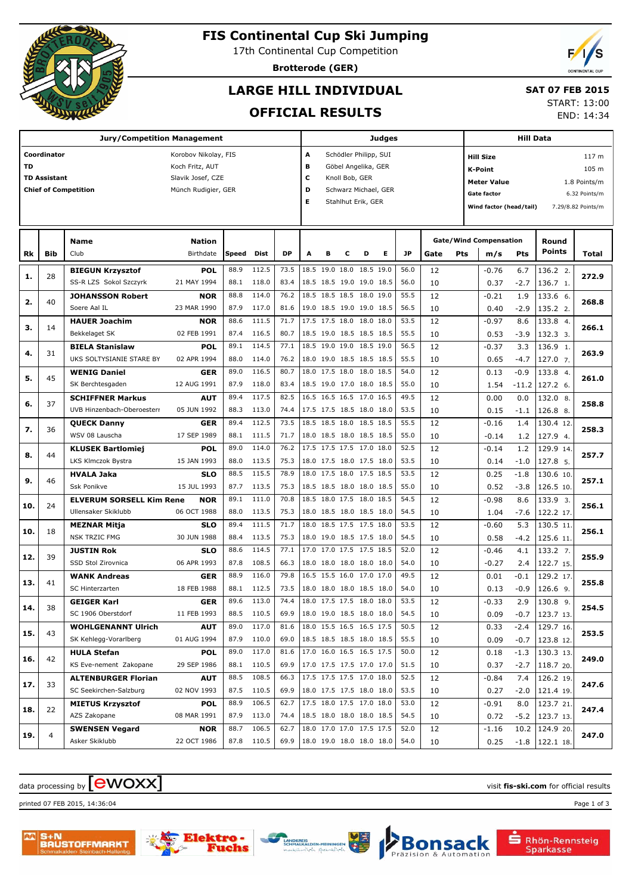

# **FIS Continental Cup Ski Jumping**

17th Continental Cup Competition

**Brotterode (GER)**

# **LARGE HILL INDIVIDUAL**

# **SAT 07 FEB 2015**

## **OFFICIAL RESULTS**

START: 13:00

END: 14:34

|     |                     | <b>Jury/Competition Management</b> | Judges               |       |            |           |      |                      |                          |           | Hill Data                |      |      |                                    |                               |         |               |                    |  |  |
|-----|---------------------|------------------------------------|----------------------|-------|------------|-----------|------|----------------------|--------------------------|-----------|--------------------------|------|------|------------------------------------|-------------------------------|---------|---------------|--------------------|--|--|
|     | Coordinator         |                                    | Korobov Nikolay, FIS |       |            |           | A    |                      | Schödler Philipp, SUI    |           |                          |      |      |                                    | <b>Hill Size</b>              |         |               | 117 m              |  |  |
| TD  |                     |                                    | Koch Fritz, AUT      |       |            |           | в    |                      | Göbel Angelika, GER      |           |                          |      |      |                                    | <b>K-Point</b>                |         |               | 105 m              |  |  |
|     | <b>TD Assistant</b> |                                    | Slavik Josef, CZE    |       |            |           | c    |                      | Knoll Bob, GER           |           |                          |      |      | <b>Meter Value</b><br>1.8 Points/m |                               |         |               |                    |  |  |
|     |                     | <b>Chief of Competition</b>        | Münch Rudigier, GER  |       |            |           | D    | Schwarz Michael, GER |                          |           |                          |      |      |                                    | <b>Gate factor</b>            |         |               | 6.32 Points/m      |  |  |
|     |                     |                                    |                      |       |            |           | Е    |                      | Stahlhut Erik, GER       |           |                          |      |      |                                    | Wind factor (head/tail)       |         |               | 7.29/8.82 Points/m |  |  |
|     |                     |                                    |                      |       |            |           |      |                      |                          |           |                          |      |      |                                    |                               |         |               |                    |  |  |
|     |                     |                                    |                      |       |            |           |      |                      |                          |           |                          |      |      |                                    |                               |         |               |                    |  |  |
|     |                     | <b>Name</b>                        | <b>Nation</b>        |       |            |           |      |                      |                          |           |                          |      |      |                                    | <b>Gate/Wind Compensation</b> |         | Round         |                    |  |  |
| Rk  | Bib                 | Club                               | Birthdate            | Speed | Dist       | <b>DP</b> | A    | в                    | с                        | D         | Е                        | JP   | Gate | Pts                                | m/s                           | Pts     | <b>Points</b> | Total              |  |  |
| 1.  | 28                  | <b>BIEGUN Krzysztof</b>            | <b>POL</b>           | 88.9  | 112.5      | 73.5      |      | 18.5 19.0 18.0       |                          | 18.5 19.0 |                          | 56.0 | 12   |                                    | $-0.76$                       | 6.7     | 136.2 2.      | 272.9              |  |  |
|     |                     | SS-R LZS Sokol Szczyrk             | 21 MAY 1994          | 88.1  | 118.0      | 83.4      |      |                      | 18.5 18.5 19.0 19.0 18.5 |           |                          | 56.0 | 10   |                                    | 0.37                          | $-2.7$  | 136.7 1.      |                    |  |  |
| 2.  | 40                  | <b>JOHANSSON Robert</b>            | <b>NOR</b>           | 88.8  | 114.0      | 76.2      |      |                      | 18.5 18.5 18.5 18.0 19.0 |           |                          | 55.5 | 12   |                                    | $-0.21$                       | 1.9     | 133.6 6.      | 268.8              |  |  |
|     |                     | Soere Aal IL                       | 23 MAR 1990          | 87.9  | 117.0      | 81.6      |      |                      | 19.0 18.5 19.0 19.0 18.5 |           |                          | 56.5 | 10   |                                    | 0.40                          | $-2.9$  | 135.2 2.      |                    |  |  |
| з.  | 14                  | <b>HAUER Joachim</b>               | <b>NOR</b>           | 88.6  | 111.5      | 71.7      |      |                      | 17.5 17.5 18.0 18.0 18.0 |           |                          | 53.5 | 12   |                                    | $-0.97$                       | 8.6     | 133.8 4.      | 266.1              |  |  |
|     |                     | Bekkelaget SK                      | 02 FEB 1991          | 87.4  | 116.5      | 80.7      |      |                      | 18.5 19.0 18.5 18.5 18.5 |           |                          | 55.5 | 10   |                                    | 0.53                          | $-3.9$  | 132.3 3.      |                    |  |  |
| 4.  | 31                  | <b>BIELA Stanislaw</b>             | <b>POL</b>           | 89.1  | 114.5      | 77.1      |      |                      | 18.5 19.0 19.0 18.5 19.0 |           |                          | 56.5 | 12   |                                    | $-0.37$                       | 3.3     | 136.9 1.      | 263.9              |  |  |
|     |                     | UKS SOLTYSIANIE STARE BY           | 02 APR 1994          | 88.0  | 114.0      | 76.2      |      |                      | 18.0 19.0 18.5 18.5 18.5 |           |                          | 55.5 | 10   |                                    | 0.65                          | $-4.7$  | 127.0 7.      |                    |  |  |
| 5.  | 45                  | <b>WENIG Daniel</b>                | <b>GER</b>           | 89.0  | 116.5      | 80.7      |      |                      | 18.0 17.5 18.0 18.0 18.5 |           |                          | 54.0 | 12   |                                    | 0.13                          | $-0.9$  | 133.8 4.      | 261.0              |  |  |
|     |                     | SK Berchtesgaden                   | 12 AUG 1991          | 87.9  | 118.0      | 83.4      |      |                      | 18.5 19.0 17.0 18.0 18.5 |           |                          | 55.0 | 10   |                                    | 1.54                          | $-11.2$ | 127.2 6.      |                    |  |  |
| 6.  | 37                  | <b>SCHIFFNER Markus</b>            | <b>AUT</b>           | 89.4  | 117.5      | 82.5      |      |                      | 16.5 16.5 16.5 17.0 16.5 |           |                          | 49.5 | 12   |                                    | 0.00                          | 0.0     | 132.0 8.      | 258.8              |  |  |
|     |                     | UVB Hinzenbach-Oberoesterr         | 05 JUN 1992          | 88.3  | 113.0      | 74.4      |      |                      | 17.5 17.5 18.5 18.0 18.0 |           |                          | 53.5 | 10   |                                    | 0.15                          | $-1.1$  | 126.8 8.      |                    |  |  |
| 7.  | 36                  | <b>QUECK Danny</b>                 | <b>GER</b>           | 89.4  | 112.5      | 73.5      |      |                      | 18.5 18.5 18.0 18.5 18.5 |           |                          | 55.5 | 12   |                                    | $-0.16$                       | 1.4     | 130.4 12.     | 258.3              |  |  |
|     |                     | WSV 08 Lauscha                     | 17 SEP 1989          | 88.1  | 111.5      | 71.7      |      |                      | 18.0 18.5 18.0 18.5 18.5 |           |                          | 55.0 | 10   |                                    | $-0.14$                       | 1.2     | 127.9 4.      |                    |  |  |
| 8.  | 44                  | <b>KLUSEK Bartlomiej</b>           | <b>POL</b>           | 89.0  | 114.0      | 76.2      |      |                      | 17.5 17.5 17.5 17.0 18.0 |           |                          | 52.5 | 12   |                                    | $-0.14$                       | 1.2     | 129.9 14.     | 257.7              |  |  |
|     |                     | LKS Klmczok Bystra                 | 15 JAN 1993          | 88.0  | 113.5      | 75.3      |      |                      | 18.0 17.5 18.0 17.5 18.0 |           |                          | 53.5 | 10   |                                    | 0.14                          | $-1.0$  | 127.8 5.      |                    |  |  |
| 9.  | 46                  | <b>HVALA Jaka</b>                  | <b>SLO</b>           | 88.5  | 115.5      | 78.9      |      |                      | 18.0 17.5 18.0 17.5 18.5 |           |                          | 53.5 | 12   |                                    | 0.25                          | $-1.8$  | 130.6 10.     | 257.1              |  |  |
|     |                     | <b>Ssk Ponikve</b>                 | 15 JUL 1993          | 87.7  | 113.5      | 75.3      |      |                      | 18.5 18.5 18.0 18.0 18.5 |           |                          | 55.0 | 10   |                                    | 0.52                          | $-3.8$  | 126.5 10.     |                    |  |  |
| 10. | 24                  | <b>ELVERUM SORSELL Kim Rene</b>    | <b>NOR</b>           | 89.1  | 111.0      | 70.8      |      |                      | 18.5 18.0 17.5 18.0 18.5 |           |                          | 54.5 | 12   |                                    | $-0.98$                       | 8.6     | 133.9 3.      | 256.1              |  |  |
|     |                     | Ullensaker Skiklubb                | 06 OCT 1988          | 88.0  | 113.5      | 75.3      |      |                      | 18.0 18.5 18.0 18.5 18.0 |           |                          | 54.5 | 10   |                                    | 1.04                          | $-7.6$  | 122.2 17.     |                    |  |  |
| 10. | 18                  | <b>MEZNAR Mitja</b>                | <b>SLO</b>           | 89.4  | 111.5      | 71.7      | 18.0 |                      | 18.5 17.5 17.5 18.0      |           |                          | 53.5 | 12   |                                    | $-0.60$                       | 5.3     | 130.5 11.     | 256.1              |  |  |
|     |                     | <b>NSK TRZIC FMG</b>               | 30 JUN 1988          | 88.4  | 113.5      | 75.3      |      |                      | 18.0 19.0 18.5 17.5 18.0 |           |                          | 54.5 | 10   |                                    | 0.58                          | $-4.2$  | 125.6 11.     |                    |  |  |
| 12. | 39                  | <b>JUSTIN Rok</b>                  | <b>SLO</b>           | 88.6  | 114.5      | 77.1      | 17.0 |                      | 17.0 17.5 17.5 18.5      |           |                          | 52.0 | 12   |                                    | $-0.46$                       | 4.1     | 133.2 7.      | 255.9              |  |  |
|     |                     | SSD Stol Zirovnica                 | 06 APR 1993          | 87.8  | 108.5      | 66.3      |      |                      | 18.0 18.0 18.0 18.0 18.0 |           |                          | 54.0 | 10   |                                    | $-0.27$                       | 2.4     | 122.7 15.     |                    |  |  |
| 13. | 41                  | <b>WANK Andreas</b>                | GER                  | 88.9  | 116.0      | 79.8      |      |                      | 16.5 15.5 16.0 17.0 17.0 |           |                          | 49.5 | 12   |                                    | 0.01                          | $-0.1$  | 129.2 17.     | 255.8              |  |  |
|     |                     | SC Hinterzarten                    | 18 FEB 1988          | 88.1  | 112.5      | 73.5      |      |                      | 18.0 18.0 18.0 18.5 18.0 |           |                          | 54.0 | 10   |                                    | 0.13                          | $-0.9$  | 126.6 9.      |                    |  |  |
| 14. | 38                  | <b>GEIGER Karl</b>                 | <b>GER</b>           | 89.6  | 113.0      | 74.4      |      |                      | 18.0 17.5 17.5 18.0 18.0 |           |                          | 53.5 | 12   |                                    | $-0.33$                       | 2.9     | 130.8 9.      | 254.5              |  |  |
|     |                     | SC 1906 Oberstdorf                 | 11 FEB 1993          |       | 88.5 110.5 | 69.9      |      |                      | 18.0 19.0 18.5 18.0 18.0 |           |                          | 54.5 | 10   |                                    | 0.09                          | $-0.7$  | 123.713.      |                    |  |  |
| 15. | 43                  | <b>WOHLGENANNT Ulrich</b>          | <b>AUT</b>           | 89.0  | 117.0      | 81.6      |      |                      | 18.0 15.5 16.5 16.5 17.5 |           |                          | 50.5 | 12   |                                    | 0.33                          | $-2.4$  | 129.7 16.     | 253.5              |  |  |
|     |                     | SK Kehlegg-Vorarlberg              | 01 AUG 1994          |       | 87.9 110.0 | 69.0      |      |                      | 18.5 18.5 18.5 18.0 18.5 |           |                          | 55.5 | 10   |                                    | 0.09                          | $-0.7$  | 123.8 12.     |                    |  |  |
| 16. | 42                  | <b>HULA Stefan</b>                 | <b>POL</b>           | 89.0  | 117.0      | 81.6      |      |                      | 17.0 16.0 16.5 16.5 17.5 |           |                          | 50.0 | 12   |                                    | 0.18                          | $-1.3$  | 130.3 13.     | 249.0              |  |  |
|     |                     | KS Eve-nement Zakopane             | 29 SEP 1986          |       | 88.1 110.5 | 69.9      |      |                      | 17.0 17.5 17.5 17.0 17.0 |           |                          | 51.5 | 10   |                                    | 0.37                          | $-2.7$  | 118.7 20.     |                    |  |  |
| 17. | 33                  | <b>ALTENBURGER Florian</b>         | <b>AUT</b>           | 88.5  | 108.5      | 66.3      |      |                      | 17.5 17.5 17.5 17.0 18.0 |           |                          | 52.5 | 12   |                                    | $-0.84$                       | 7.4     | 126.2 19.     | 247.6              |  |  |
|     |                     | SC Seekirchen-Salzburg             | 02 NOV 1993          |       | 87.5 110.5 | 69.9      |      |                      | 18.0 17.5 17.5 18.0 18.0 |           |                          | 53.5 | 10   |                                    | 0.27                          | $-2.0$  | 121.4 19.     |                    |  |  |
| 18. | 22                  | <b>MIETUS Krzysztof</b>            | <b>POL</b>           | 88.9  | 106.5      | 62.7      |      |                      | 17.5 18.0 17.5 17.0 18.0 |           |                          | 53.0 | 12   |                                    | $-0.91$                       | 8.0     | 123.7 21.     | 247.4              |  |  |
|     |                     | AZS Zakopane                       | 08 MAR 1991          |       | 87.9 113.0 | 74.4      |      |                      | 18.5 18.0 18.0 18.0 18.5 |           |                          | 54.5 | 10   |                                    | 0.72                          | $-5.2$  | 123.7 13.     |                    |  |  |
| 19. | $\overline{4}$      | <b>SWENSEN Vegard</b>              | <b>NOR</b>           | 88.7  | 106.5      | 62.7      |      |                      | 18.0 17.0 17.0 17.5 17.5 |           |                          | 52.0 | 12   |                                    | $-1.16$                       | 10.2    | 124.9 20.     | 247.0              |  |  |
|     |                     | Asker Skiklubb                     | 22 OCT 1986          |       | 87.8 110.5 | 69.9      |      |                      |                          |           | 18.0 19.0 18.0 18.0 18.0 | 54.0 | 10   |                                    | 0.25                          | $-1.8$  | 122.1 18.     |                    |  |  |

# $\alpha$  data processing by  $\boxed{\text{ewOX}}$

printed 07 FEB 2015, 14:36:04 Page 1 of 3







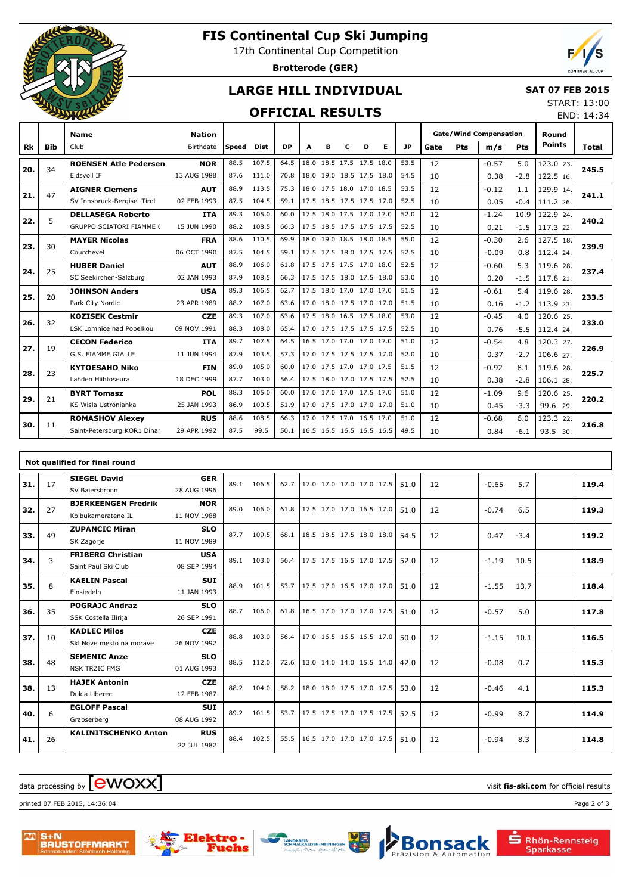

# **FIS Continental Cup Ski Jumping**

17th Continental Cup Competition

**Brotterode (GER)**



END: 14:34

## **LARGE HILL INDIVIDUAL**

#### **SAT 07 FEB 2015** START: 13:00

## **OFFICIAL RESULTS**

|     |            | <b>Name</b>                     | <b>Nation</b> |       |             |           |                          |                          |   |   |   |      |      |     | <b>Gate/Wind Compensation</b> |        | Round         |              |
|-----|------------|---------------------------------|---------------|-------|-------------|-----------|--------------------------|--------------------------|---|---|---|------|------|-----|-------------------------------|--------|---------------|--------------|
| Rk  | <b>Bib</b> | Club                            | Birthdate     | Speed | <b>Dist</b> | <b>DP</b> | A                        | в                        | с | D | Е | JP   | Gate | Pts | m/s                           | Pts    | <b>Points</b> | <b>Total</b> |
|     | 34         | <b>ROENSEN Atle Pedersen</b>    | <b>NOR</b>    | 88.5  | 107.5       | 64.5      |                          | 18.0 18.5 17.5 17.5 18.0 |   |   |   | 53.5 | 12   |     | $-0.57$                       | 5.0    | 123.0 23.     | 245.5        |
| 20. |            | Eidsvoll IF                     | 13 AUG 1988   | 87.6  | 111.0       | 70.8      |                          | 18.0 19.0 18.5 17.5 18.0 |   |   |   | 54.5 | 10   |     | 0.38                          | $-2.8$ | 122.5 16.     |              |
|     | 47         | <b>AIGNER Clemens</b>           | <b>AUT</b>    | 88.9  | 113.5       | 75.3      |                          | 18.0 17.5 18.0 17.0 18.5 |   |   |   | 53.5 | 12   |     | $-0.12$                       | 1.1    | 129.9 14.     |              |
| 21. |            | SV Innsbruck-Bergisel-Tirol     | 02 FEB 1993   | 87.5  | 104.5       | 59.1      |                          | 17.5 18.5 17.5 17.5 17.0 |   |   |   | 52.5 | 10   |     | 0.05                          | $-0.4$ | 111.2 26.     | 241.1        |
|     |            | <b>DELLASEGA Roberto</b>        | <b>ITA</b>    | 89.3  | 105.0       | 60.0      |                          | 17.5 18.0 17.5 17.0 17.0 |   |   |   | 52.0 | 12   |     | $-1.24$                       | 10.9   | 122.9 24.     |              |
| 22. | 5          | <b>GRUPPO SCIATORI FIAMME (</b> | 15 JUN 1990   | 88.2  | 108.5       | 66.3      | 17.5 18.5 17.5 17.5 17.5 |                          |   |   |   | 52.5 | 10   |     | 0.21                          | $-1.5$ | 117.3 22.     | 240.2        |
|     |            | <b>MAYER Nicolas</b>            | <b>FRA</b>    | 88.6  | 110.5       | 69.9      |                          | 18.0 19.0 18.5 18.0 18.5 |   |   |   | 55.0 | 12   |     | $-0.30$                       | 2.6    | 127.5 18.     |              |
| 23. | 30         | Courchevel                      | 06 OCT 1990   | 87.5  | 104.5       | 59.1      | 17.5 17.5 18.0 17.5 17.5 |                          |   |   |   | 52.5 | 10   |     | $-0.09$                       | 0.8    | 112.4 24.     | 239.9        |
|     | 25         | <b>HUBER Daniel</b>             | <b>AUT</b>    | 88.9  | 106.0       | 61.8      |                          | 17.5 17.5 17.5 17.0 18.0 |   |   |   | 52.5 | 12   |     | $-0.60$                       | 5.3    | 119.6 28.     |              |
| 24. |            | SC Seekirchen-Salzburg          | 02 JAN 1993   | 87.9  | 108.5       | 66.3      | 17.5 17.5 18.0 17.5 18.0 |                          |   |   |   | 53.0 | 10   |     | 0.20                          | $-1.5$ | 117.8 21.     | 237.4        |
|     |            | <b>JOHNSON Anders</b>           | <b>USA</b>    | 89.3  | 106.5       | 62.7      |                          | 17.5 18.0 17.0 17.0 17.0 |   |   |   | 51.5 | 12   |     | $-0.61$                       | 5.4    | 119.6 28.     |              |
| 25. | 20         | Park City Nordic                | 23 APR 1989   | 88.2  | 107.0       | 63.6      | 17.0 18.0 17.5 17.0 17.0 |                          |   |   |   | 51.5 | 10   |     | 0.16                          | $-1.2$ | 113.9 23.     | 233.5        |
| 26. | 32         | <b>KOZISEK Cestmir</b>          | <b>CZE</b>    | 89.3  | 107.0       | 63.6      |                          | 17.5 18.0 16.5 17.5 18.0 |   |   |   | 53.0 | 12   |     | $-0.45$                       | 4.0    | 120.6 25.     | 233.0        |
|     |            | LSK Lomnice nad Popelkou        | 09 NOV 1991   | 88.3  | 108.0       | 65.4      | 17.0 17.5 17.5 17.5 17.5 |                          |   |   |   | 52.5 | 10   |     | 0.76                          | $-5.5$ | 112.4 24.     |              |
|     | 19         | <b>CECON Federico</b>           | <b>ITA</b>    | 89.7  | 107.5       | 64.5      |                          | 16.5 17.0 17.0 17.0 17.0 |   |   |   | 51.0 | 12   |     | $-0.54$                       | 4.8    | 120.3 27.     | 226.9        |
| 27. |            | G.S. FIAMME GIALLE              | 11 JUN 1994   | 87.9  | 103.5       | 57.3      | 17.0 17.5 17.5 17.5 17.0 |                          |   |   |   | 52.0 | 10   |     | 0.37                          | $-2.7$ | 106.6 27.     |              |
|     | 23         | <b>KYTOESAHO Niko</b>           | <b>FIN</b>    | 89.0  | 105.0       | 60.0      |                          | 17.0 17.5 17.0 17.0 17.5 |   |   |   | 51.5 | 12   |     | $-0.92$                       | 8.1    | 119.6 28.     |              |
| 28. |            | Lahden Hiihtoseura              | 18 DEC 1999   | 87.7  | 103.0       | 56.4      | 17.5 18.0 17.0 17.5 17.5 |                          |   |   |   | 52.5 | 10   |     | 0.38                          | $-2.8$ | 106.1 28.     | 225.7        |
|     |            | <b>BYRT Tomasz</b>              | <b>POL</b>    | 88.3  | 105.0       | 60.0      |                          | 17.0 17.0 17.0 17.5 17.0 |   |   |   | 51.0 | 12   |     | $-1.09$                       | 9.6    | 120.6 25.     |              |
| 29. | 21         | KS Wisla Ustronianka            | 25 JAN 1993   | 86.9  | 100.5       | 51.9      | 17.0 17.5 17.0 17.0 17.0 |                          |   |   |   | 51.0 | 10   |     | 0.45                          | $-3.3$ | 99.6 29.      | 220.2        |
|     |            | <b>ROMASHOV Alexey</b>          | <b>RUS</b>    | 88.6  | 108.5       | 66.3      |                          | 17.0 17.5 17.0 16.5 17.0 |   |   |   | 51.0 | 12   |     | $-0.68$                       | 6.0    | 123.3 22.     | 216.8        |
| 30. | 11         | Saint-Petersburg KOR1 Dinar     | 29 APR 1992   | 87.5  | 99.5        | 50.1      | 16.5 16.5 16.5 16.5 16.5 |                          |   |   |   | 49.5 | 10   |     | 0.84                          | $-6.1$ | 93.5 30.      |              |

|     |    | Not qualified for final round                    |                           |      |       |      |                          |  |      |    |         |        |       |
|-----|----|--------------------------------------------------|---------------------------|------|-------|------|--------------------------|--|------|----|---------|--------|-------|
| 31. | 17 | <b>SIEGEL David</b><br>SV Baiersbronn            | <b>GER</b><br>28 AUG 1996 | 89.1 | 106.5 | 62.7 | 17.0 17.0 17.0 17.0 17.5 |  | 51.0 | 12 | $-0.65$ | 5.7    | 119.4 |
| 32. | 27 | <b>BJERKEENGEN Fredrik</b><br>Kolbukameratene IL | <b>NOR</b><br>11 NOV 1988 | 89.0 | 106.0 | 61.8 | 17.5 17.0 17.0 16.5 17.0 |  | 51.0 | 12 | $-0.74$ | 6.5    | 119.3 |
| 33. | 49 | <b>ZUPANCIC Miran</b><br>SK Zagorje              | <b>SLO</b><br>11 NOV 1989 | 87.7 | 109.5 | 68.1 | 18.5 18.5 17.5 18.0 18.0 |  | 54.5 | 12 | 0.47    | $-3.4$ | 119.2 |
| 34. | 3  | <b>FRIBERG Christian</b><br>Saint Paul Ski Club  | <b>USA</b><br>08 SEP 1994 | 89.1 | 103.0 | 56.4 | 17.5 17.5 16.5 17.0 17.5 |  | 52.0 | 12 | $-1.19$ | 10.5   | 118.9 |
| 35. | 8  | <b>KAELIN Pascal</b><br>Einsiedeln               | <b>SUI</b><br>11 JAN 1993 | 88.9 | 101.5 | 53.7 | 17.5 17.0 16.5 17.0 17.0 |  | 51.0 | 12 | $-1.55$ | 13.7   | 118.4 |
| 36. | 35 | <b>POGRAJC Andraz</b><br>SSK Costella Ilirija    | <b>SLO</b><br>26 SEP 1991 | 88.7 | 106.0 | 61.8 | 16.5 17.0 17.0 17.0 17.5 |  | 51.0 | 12 | $-0.57$ | 5.0    | 117.8 |
| 37. | 10 | <b>KADLEC Milos</b><br>Skl Nove mesto na morave  | <b>CZE</b><br>26 NOV 1992 | 88.8 | 103.0 | 56.4 | 17.0 16.5 16.5 16.5 17.0 |  | 50.0 | 12 | $-1.15$ | 10.1   | 116.5 |
| 38. | 48 | <b>SEMENIC Anze</b><br><b>NSK TRZIC FMG</b>      | <b>SLO</b><br>01 AUG 1993 | 88.5 | 112.0 | 72.6 | 13.0 14.0 14.0 15.5 14.0 |  | 42.0 | 12 | $-0.08$ | 0.7    | 115.3 |
| 38. | 13 | <b>HAJEK Antonin</b><br>Dukla Liberec            | <b>CZE</b><br>12 FEB 1987 | 88.2 | 104.0 | 58.2 | 18.0 18.0 17.5 17.0 17.5 |  | 53.0 | 12 | $-0.46$ | 4.1    | 115.3 |
| 40. | 6  | <b>EGLOFF Pascal</b><br>Grabserberg              | <b>SUI</b><br>08 AUG 1992 | 89.2 | 101.5 | 53.7 | 17.5 17.5 17.0 17.5 17.5 |  | 52.5 | 12 | $-0.99$ | 8.7    | 114.9 |
| 41. | 26 | <b>KALINITSCHENKO Anton</b>                      | <b>RUS</b><br>22 JUL 1982 | 88.4 | 102.5 | 55.5 | 16.5 17.0 17.0 17.0 17.5 |  | 51.0 | 12 | $-0.94$ | 8.3    | 114.8 |

# $\frac{1}{2}$  data processing by  $\boxed{\text{ewOX}}$

printed 07 FEB 2015, 14:36:04 Page 2 of 3